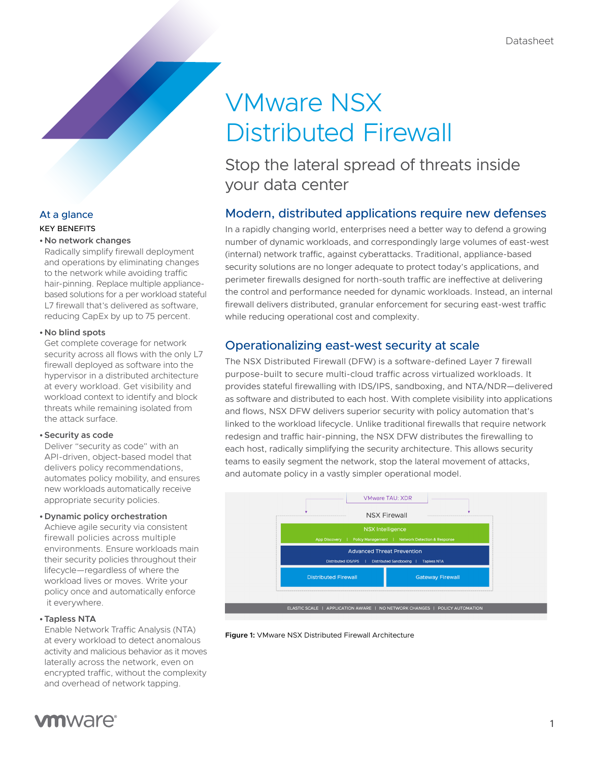# VMware NSX Distributed Firewall

## Stop the lateral spread of threats inside your data center

## Modern, distributed applications require new defenses

In a rapidly changing world, enterprises need a better way to defend a growing number of dynamic workloads, and correspondingly large volumes of east-west (internal) network traffic, against cyberattacks. Traditional, appliance-based security solutions are no longer adequate to protect today's applications, and perimeter firewalls designed for north-south traffic are ineffective at delivering the control and performance needed for dynamic workloads. Instead, an internal firewall delivers distributed, granular enforcement for securing east-west traffic while reducing operational cost and complexity.

## Operationalizing east-west security at scale

The NSX Distributed Firewall (DFW) is a software-defined Layer 7 firewall purpose-built to secure multi-cloud traffic across virtualized workloads. It provides stateful firewalling with IDS/IPS, sandboxing, and NTA/NDR—delivered as software and distributed to each host. With complete visibility into applications and flows, NSX DFW delivers superior security with policy automation that's linked to the workload lifecycle. Unlike traditional firewalls that require network redesign and traffic hair-pinning, the NSX DFW distributes the firewalling to each host, radically simplifying the security architecture. This allows security teams to easily segment the network, stop the lateral movement of attacks, and automate policy in a vastly simpler operational model.







#### **• No network changes**

Radically simplify firewall deployment and operations by eliminating changes to the network while avoiding traffic hair-pinning. Replace multiple appliancebased solutions for a per workload stateful L7 firewall that's delivered as software, reducing CapEx by up to 75 percent.

#### **• No blind spots**

Get complete coverage for network security across all flows with the only L7 firewall deployed as software into the hypervisor in a distributed architecture at every workload. Get visibility and workload context to identify and block threats while remaining isolated from the attack surface.

#### **•Security as code**

Deliver "security as code" with an API-driven, object-based model that delivers policy recommendations, automates policy mobility, and ensures new workloads automatically receive appropriate security policies.

#### **•Dynamic policy orchestration**

Achieve agile security via consistent firewall policies across multiple environments. Ensure workloads main their security policies throughout their lifecycle—regardless of where the workload lives or moves. Write your policy once and automatically enforce it everywhere.

#### **•Tapless NTA**

Enable Network Traffic Analysis (NTA) at every workload to detect anomalous activity and malicious behavior as it moves laterally across the network, even on encrypted traffic, without the complexity and overhead of network tapping.